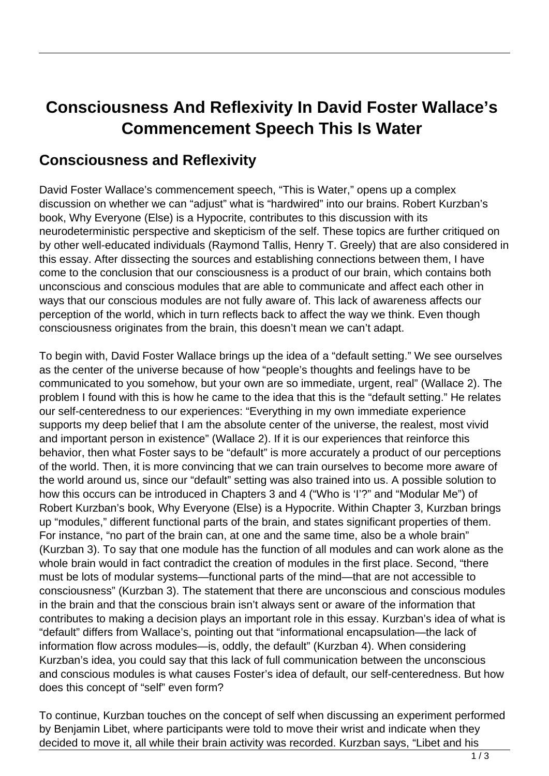## **Consciousness And Reflexivity In David Foster Wallace's Commencement Speech This Is Water**

## **Consciousness and Reflexivity**

David Foster Wallace's commencement speech, "This is Water," opens up a complex discussion on whether we can "adjust" what is "hardwired" into our brains. Robert Kurzban's book, Why Everyone (Else) is a Hypocrite, contributes to this discussion with its neurodeterministic perspective and skepticism of the self. These topics are further critiqued on by other well-educated individuals (Raymond Tallis, Henry T. Greely) that are also considered in this essay. After dissecting the sources and establishing connections between them, I have come to the conclusion that our consciousness is a product of our brain, which contains both unconscious and conscious modules that are able to communicate and affect each other in ways that our conscious modules are not fully aware of. This lack of awareness affects our perception of the world, which in turn reflects back to affect the way we think. Even though consciousness originates from the brain, this doesn't mean we can't adapt.

To begin with, David Foster Wallace brings up the idea of a "default setting." We see ourselves as the center of the universe because of how "people's thoughts and feelings have to be communicated to you somehow, but your own are so immediate, urgent, real" (Wallace 2). The problem I found with this is how he came to the idea that this is the "default setting." He relates our self-centeredness to our experiences: "Everything in my own immediate experience supports my deep belief that I am the absolute center of the universe, the realest, most vivid and important person in existence" (Wallace 2). If it is our experiences that reinforce this behavior, then what Foster says to be "default" is more accurately a product of our perceptions of the world. Then, it is more convincing that we can train ourselves to become more aware of the world around us, since our "default" setting was also trained into us. A possible solution to how this occurs can be introduced in Chapters 3 and 4 ("Who is 'I'?" and "Modular Me") of Robert Kurzban's book, Why Everyone (Else) is a Hypocrite. Within Chapter 3, Kurzban brings up "modules," different functional parts of the brain, and states significant properties of them. For instance, "no part of the brain can, at one and the same time, also be a whole brain" (Kurzban 3). To say that one module has the function of all modules and can work alone as the whole brain would in fact contradict the creation of modules in the first place. Second, "there must be lots of modular systems—functional parts of the mind—that are not accessible to consciousness" (Kurzban 3). The statement that there are unconscious and conscious modules in the brain and that the conscious brain isn't always sent or aware of the information that contributes to making a decision plays an important role in this essay. Kurzban's idea of what is "default" differs from Wallace's, pointing out that "informational encapsulation—the lack of information flow across modules—is, oddly, the default" (Kurzban 4). When considering Kurzban's idea, you could say that this lack of full communication between the unconscious and conscious modules is what causes Foster's idea of default, our self-centeredness. But how does this concept of "self" even form?

To continue, Kurzban touches on the concept of self when discussing an experiment performed by Benjamin Libet, where participants were told to move their wrist and indicate when they decided to move it, all while their brain activity was recorded. Kurzban says, "Libet and his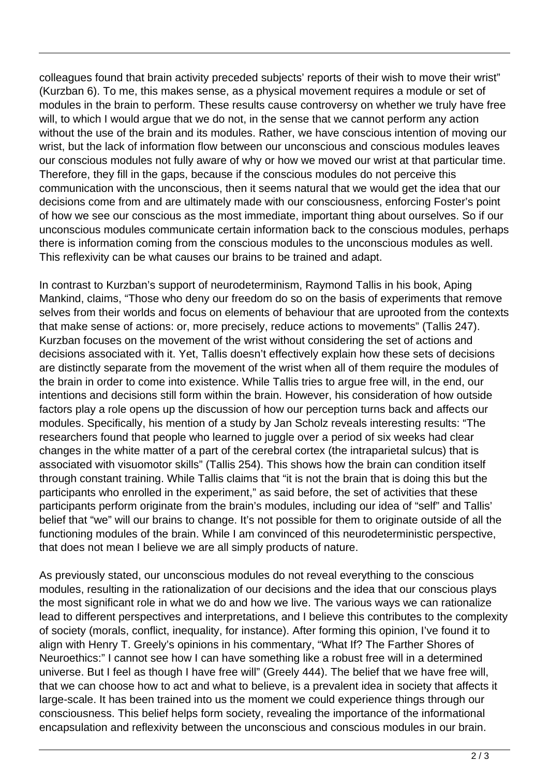colleagues found that brain activity preceded subjects' reports of their wish to move their wrist" (Kurzban 6). To me, this makes sense, as a physical movement requires a module or set of modules in the brain to perform. These results cause controversy on whether we truly have free will, to which I would argue that we do not, in the sense that we cannot perform any action without the use of the brain and its modules. Rather, we have conscious intention of moving our wrist, but the lack of information flow between our unconscious and conscious modules leaves our conscious modules not fully aware of why or how we moved our wrist at that particular time. Therefore, they fill in the gaps, because if the conscious modules do not perceive this communication with the unconscious, then it seems natural that we would get the idea that our decisions come from and are ultimately made with our consciousness, enforcing Foster's point of how we see our conscious as the most immediate, important thing about ourselves. So if our unconscious modules communicate certain information back to the conscious modules, perhaps there is information coming from the conscious modules to the unconscious modules as well. This reflexivity can be what causes our brains to be trained and adapt.

In contrast to Kurzban's support of neurodeterminism, Raymond Tallis in his book, Aping Mankind, claims, "Those who deny our freedom do so on the basis of experiments that remove selves from their worlds and focus on elements of behaviour that are uprooted from the contexts that make sense of actions: or, more precisely, reduce actions to movements" (Tallis 247). Kurzban focuses on the movement of the wrist without considering the set of actions and decisions associated with it. Yet, Tallis doesn't effectively explain how these sets of decisions are distinctly separate from the movement of the wrist when all of them require the modules of the brain in order to come into existence. While Tallis tries to argue free will, in the end, our intentions and decisions still form within the brain. However, his consideration of how outside factors play a role opens up the discussion of how our perception turns back and affects our modules. Specifically, his mention of a study by Jan Scholz reveals interesting results: "The researchers found that people who learned to juggle over a period of six weeks had clear changes in the white matter of a part of the cerebral cortex (the intraparietal sulcus) that is associated with visuomotor skills" (Tallis 254). This shows how the brain can condition itself through constant training. While Tallis claims that "it is not the brain that is doing this but the participants who enrolled in the experiment," as said before, the set of activities that these participants perform originate from the brain's modules, including our idea of "self" and Tallis' belief that "we" will our brains to change. It's not possible for them to originate outside of all the functioning modules of the brain. While I am convinced of this neurodeterministic perspective, that does not mean I believe we are all simply products of nature.

As previously stated, our unconscious modules do not reveal everything to the conscious modules, resulting in the rationalization of our decisions and the idea that our conscious plays the most significant role in what we do and how we live. The various ways we can rationalize lead to different perspectives and interpretations, and I believe this contributes to the complexity of society (morals, conflict, inequality, for instance). After forming this opinion, I've found it to align with Henry T. Greely's opinions in his commentary, "What If? The Farther Shores of Neuroethics:" I cannot see how I can have something like a robust free will in a determined universe. But I feel as though I have free will" (Greely 444). The belief that we have free will, that we can choose how to act and what to believe, is a prevalent idea in society that affects it large-scale. It has been trained into us the moment we could experience things through our consciousness. This belief helps form society, revealing the importance of the informational encapsulation and reflexivity between the unconscious and conscious modules in our brain.